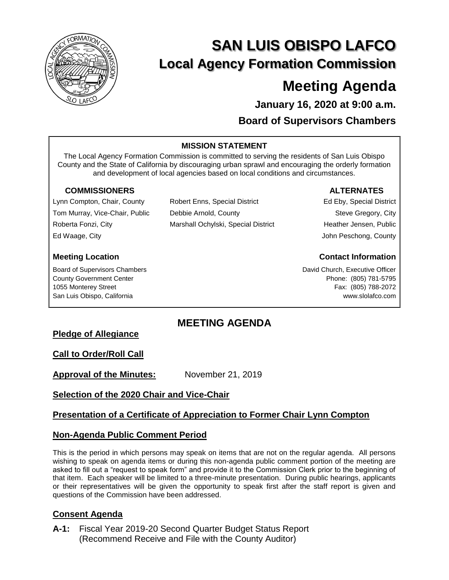

# **SAN LUIS OBISPO LAFCO Local Agency Formation Commission**

## **Meeting Agenda**

**January 16, 2020 at 9:00 a.m. Board of Supervisors Chambers**

#### **MISSION STATEMENT**

The Local Agency Formation Commission is committed to serving the residents of San Luis Obispo County and the State of California by discouraging urban sprawl and encouraging the orderly formation and development of local agencies based on local conditions and circumstances.

Marshall Ochylski, Special District

Robert Enns, Special District

Debbie Arnold, County

#### **COMMISSIONERS ALTERNATES**

Lynn Compton, Chair, County Tom Murray, Vice-Chair, Public Roberta Fonzi, City Ed Waage, City

Board of Supervisors Chambers County Government Center 1055 Monterey Street San Luis Obispo, California

Ed Eby, Special District Steve Gregory, City Heather Jensen, Public John Peschong, County

### **Meeting Location Contact Information**

David Church, Executive Officer Phone: (805) 781-5795 Fax: (805) 788-2072 www.slolafco.com

## **MEETING AGENDA**

#### **Pledge of Allegiance**

#### **Call to Order/Roll Call**

**Approval of the Minutes:** November 21, 2019

#### **Selection of the 2020 Chair and Vice-Chair**

#### **Presentation of a Certificate of Appreciation to Former Chair Lynn Compton**

#### **Non-Agenda Public Comment Period**

This is the period in which persons may speak on items that are not on the regular agenda. All persons wishing to speak on agenda items or during this non-agenda public comment portion of the meeting are asked to fill out a "request to speak form" and provide it to the Commission Clerk prior to the beginning of that item. Each speaker will be limited to a three-minute presentation. During public hearings, applicants or their representatives will be given the opportunity to speak first after the staff report is given and questions of the Commission have been addressed.

#### **Consent Agenda**

**A-1:** Fiscal Year 2019-20 Second Quarter Budget Status Report (Recommend Receive and File with the County Auditor)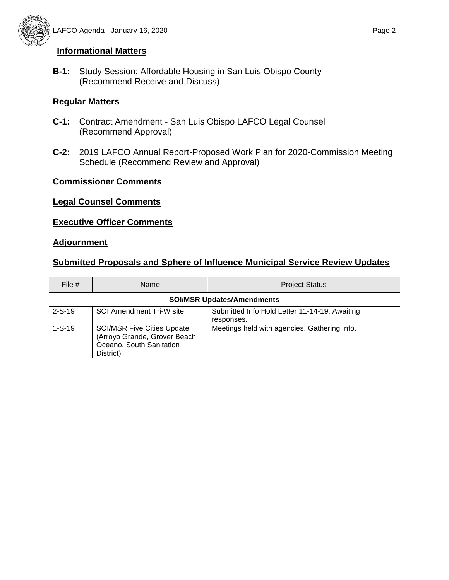

#### **Informational Matters**

**B-1:** Study Session: Affordable Housing in San Luis Obispo County (Recommend Receive and Discuss)

#### **Regular Matters**

- **C-1:** Contract Amendment San Luis Obispo LAFCO Legal Counsel (Recommend Approval)
- **C-2:** 2019 LAFCO Annual Report-Proposed Work Plan for 2020-Commission Meeting Schedule (Recommend Review and Approval)

#### **Commissioner Comments**

#### **Legal Counsel Comments**

#### **Executive Officer Comments**

#### **Adjournment**

#### **Submitted Proposals and Sphere of Influence Municipal Service Review Updates**

| File $#$                          | <b>Name</b>                                                                                                 | <b>Project Status</b>                                       |
|-----------------------------------|-------------------------------------------------------------------------------------------------------------|-------------------------------------------------------------|
| <b>SOI/MSR Updates/Amendments</b> |                                                                                                             |                                                             |
| $2-S-19$                          | SOI Amendment Tri-W site                                                                                    | Submitted Info Hold Letter 11-14-19. Awaiting<br>responses. |
| $1-S-19$                          | <b>SOI/MSR Five Cities Update</b><br>(Arroyo Grande, Grover Beach,<br>Oceano, South Sanitation<br>District) | Meetings held with agencies. Gathering Info.                |